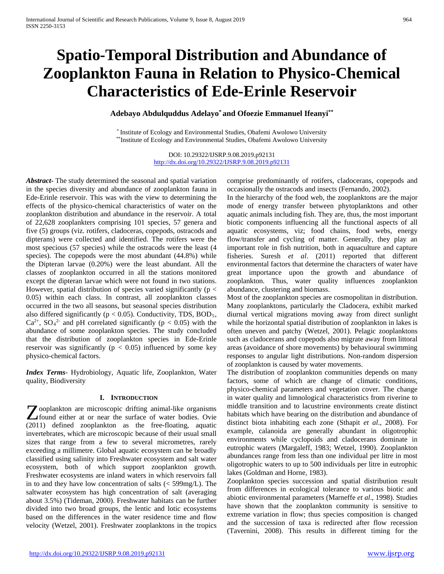# **Spatio-Temporal Distribution and Abundance of Zooplankton Fauna in Relation to Physico-Chemical Characteristics of Ede-Erinle Reservoir**

# **Adebayo Abdulquddus Adelayo\* and Ofoezie Emmanuel Ifeanyi\*\***

\* Institute of Ecology and Environmental Studies, Obafemi Awolowo University \*\*Institute of Ecology and Environmental Studies, Obafemi Awolowo University

> DOI: 10.29322/IJSRP.9.08.2019.p92131 <http://dx.doi.org/10.29322/IJSRP.9.08.2019.p92131>

*Abstract***-** The study determined the seasonal and spatial variation in the species diversity and abundance of zooplankton fauna in Ede-Erinle reservoir. This was with the view to determining the effects of the physico-chemical characteristics of water on the zooplankton distribution and abundance in the reservoir. A total of 22,628 zooplankters comprising 101 species, 57 genera and five (5) groups (viz. rotifers, cladoceras, copepods, ostracods and dipterans) were collected and identified. The rotifers were the most specious (57 species) while the ostracods were the least (4 species). The copepods were the most abundant (44.8%) while the Dipteran larvae (0.20%) were the least abundant. All the classes of zooplankton occurred in all the stations monitored except the dipteran larvae which were not found in two stations. However, spatial distribution of species varied significantly ( $p <$ 0.05) within each class. In contrast, all zooplankton classes occurred in the two all seasons, but seasonal species distribution also differed significantly ( $p < 0.05$ ). Conductivity, TDS, BOD<sub>5</sub>,  $Ca^{2+}$ ,  $SO_4{}^{2-}$  and pH correlated significantly (p < 0.05) with the abundance of some zooplankton species. The study concluded that the distribution of zooplankton species in Ede-Erinle reservoir was significantly ( $p < 0.05$ ) influenced by some key physico-chemical factors.

*Index Terms*- Hydrobiology, Aquatic life, Zooplankton, Water quality, Biodiversity

## **I. INTRODUCTION**

ooplankton are microscopic drifting animal-like organisms **Found either at or near the surface of water bodies.** Ovie (2011) defined zooplankton as the free-floating, aquatic invertebrates, which are microscopic because of their usual small sizes that range from a few to several micrometres, rarely exceeding a millimetre. Global aquatic ecosystem can be broadly classified using salinity into Freshwater ecosystem and salt water ecosystem, both of which support zooplankton growth. Freshwater ecosystems are inland waters in which reservoirs fall in to and they have low concentration of salts  $\langle \langle 599 \text{mg/L}} \rangle$ . The saltwater ecosystem has high concentration of salt (averaging about 3.5%) (Tideman, 2000). Freshwater habitats can be further divided into two broad groups, the lentic and lotic ecosystems based on the differences in the water residence time and flow velocity (Wetzel, 2001). Freshwater zooplanktons in the tropics

comprise predominantly of rotifers, cladocerans, copepods and occasionally the ostracods and insects (Fernando, 2002).

In the hierarchy of the food web, the zooplanktons are the major mode of energy transfer between phytoplanktons and other aquatic animals including fish. They are, thus, the most important biotic components influencing all the functional aspects of all aquatic ecosystems, viz; food chains, food webs, energy flow/transfer and cycling of matter. Generally, they play an important role in fish nutrition, both in aquaculture and capture fisheries. Suresh *et al*. (2011) reported that different environmental factors that determine the characters of water have great importance upon the growth and abundance of zooplankton. Thus, water quality influences zooplankton abundance, clustering and biomass.

Most of the zooplankton species are cosmopolitan in distribution. Many zooplanktons, particularly the Cladocera, exhibit marked diurnal vertical migrations moving away from direct sunlight while the horizontal spatial distribution of zooplankton in lakes is often uneven and patchy (Wetzel, 2001). Pelagic zooplanktons such as cladocerans and copepods also migrate away from littoral areas (avoidance of shore movements) by behavioural swimming responses to angular light distributions. Non-random dispersion of zooplankton is caused by water movements.

The distribution of zooplankton communities depends on many factors, some of which are change of climatic conditions, physico-chemical parameters and vegetation cover. The change in water quality and limnological characteristics from riverine to middle transition and to lacustrine environments create distinct habitats which have bearing on the distribution and abundance of distinct biota inhabiting each zone (Sthapit *et al*., 2008). For example, calanoida are generally abundant in oligotrophic environments while cyclopoids and cladocerans dominate in eutrophic waters (Margaleff, 1983; Wetzel, 1990). Zooplankton abundances range from less than one individual per litre in most oligotrophic waters to up to 500 individuals per litre in eutrophic lakes (Goldman and Horne, 1983).

Zooplankton species succession and spatial distribution result from differences in ecological tolerance to various biotic and abiotic environmental parameters (Marneffe *et al*., 1998). Studies have shown that the zooplankton community is sensitive to extreme variation in flow; thus species composition is changed and the succession of taxa is redirected after flow recession (Tavernini, 2008). This results in different timing for the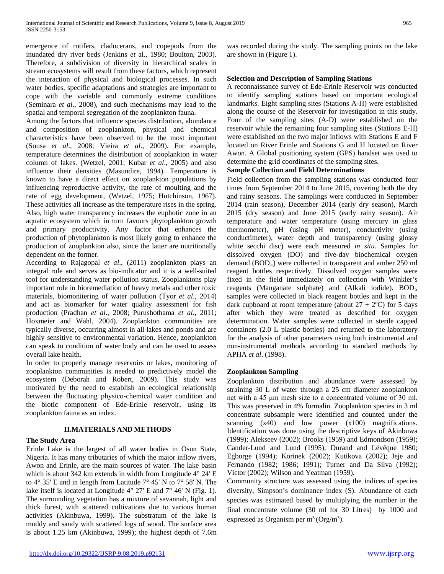emergence of rotifers, cladocerans, and copepods from the inundated dry river beds (Jenkins *et* al., 1980; Boulton, 2003). Therefore, a subdivision of diversity in hierarchical scales in stream ecosystems will result from these factors, which represent the interaction of physical and biological processes. In such water bodies, specific adaptations and strategies are important to cope with the variable and commonly extreme conditions (Seminara *et al*., 2008), and such mechanisms may lead to the spatial and temporal segregation of the zooplankton fauna.

Among the factors that influence species distribution, abundance and composition of zooplankton, physical and chemical characteristics have been observed to be the most important (Sousa *et al*., 2008; Vieira *et al*., 2009). For example, temperature determines the distribution of zooplankton in water column of lakes. (Wetzel, 2001; Kubar *et al*., 2005) and also influence their densities (Masundire, 1994). Temperature is known to have a direct effect on zooplankton populations by influencing reproductive activity, the rate of moulting and the rate of egg development, (Wetzel, 1975; Hutchinson, 1967). These activities all increase as the temperature rises in the spring. Also, high water transparency increases the euphotic zone in an aquatic ecosystem which in turn favours phytoplankton growth and primary productivity. Any factor that enhances the production of phytoplankton is most likely going to enhance the production of zooplankton also, since the latter are nutritionally dependent on the former.

According to Rajagopal *et al*., (2011) zooplankton plays an integral role and serves as bio-indicator and it is a well-suited tool for understanding water pollution status. Zooplanktons play important role in bioremediation of heavy metals and other toxic materials, biomonitering of water pollution (Tyor *et al*., 2014) and act as biomarker for water quality assessment for fish production (Pradhan *et al*., 2008; Purushothama *et al*., 2011; Hoxmeier and Wahl, 2004). Zooplankton communities are typically diverse, occurring almost in all lakes and ponds and are highly sensitive to environmental variation. Hence, zooplankton can speak to condition of water body and can be used to assess overall lake health.

In order to properly manage reservoirs or lakes, monitoring of zooplankton communities is needed to predictively model the ecosystem (Deborah and Robert, 2009). This study was motivated by the need to establish an ecological relationship between the fluctuating physico-chemical water condition and the biotic component of Ede-Erinle reservoir, using its zooplankton fauna as an index.

## **II.MATERIALS AND METHODS**

## **The Study Area**

Erinle Lake is the largest of all water bodies in Osun State, Nigeria. It has many tributaries of which the major inflow rivers, Awon and Erinle, are the main sources of water. The lake basin which is about 342 km extends in width from Longitude 4° 24' E to 4° 35' E and in length from Latitude 7° 45' N to 7° 58' N. The lake itself is located at Longitude 4° 27' E and 7° 46' N (Fig. 1). The surrounding vegetation has a mixture of savannah, light and thick forest, with scattered cultivations due to various human activities (Akinbuwa, 1999). The substratum of the lake is muddy and sandy with scattered logs of wood. The surface area is about 1.25 km (Akinbuwa, 1999); the highest depth of 7.6m was recorded during the study. The sampling points on the lake are shown in (Figure 1).

## **Selection and Description of Sampling Stations**

A reconnaissance survey of Ede-Erinle Reservoir was conducted to identify sampling stations based on important ecological landmarks. Eight sampling sites (Stations A-H) were established along the course of the Reservoir for investigation in this study. Four of the sampling sites (A-D) were established on the reservoir while the remaining four sampling sites (Stations E-H) were established on the two major inflows with Stations E and F located on River Erinle and Stations G and H located on River Awon. A Global positioning system (GPS) handset was used to determine the grid coordinates of the sampling sites.

## **Sample Collection and Field Determinations**

Field collection from the sampling stations was conducted four times from September 2014 to June 2015, covering both the dry and rainy seasons. The samplings were conducted in September 2014 (rain season), December 2014 (early dry season), March 2015 (dry season) and June 2015 (early rainy season). Air temperature and water temperature (using mercury in glass thermometer), pH (using pH meter), conductivity (using conductimeter), water depth and transparency (using glossy white secchi disc) were each measured *in situ*. Samples for dissolved oxygen (DO) and five-day biochemical oxygen demand (BOD<sub>5</sub>) were collected in transparent and amber 250 ml reagent bottles respectively. Dissolved oxygen samples were fixed in the field immediately on collection with Winkler's reagents (Manganate sulphate) and (Alkali iodide).  $BOD<sub>5</sub>$ samples were collected in black reagent bottles and kept in the dark cupboard at room temperature (about  $27 + 2$ °C) for 5 days after which they were treated as described for oxygen determination. Water samples were collected in sterile capped containers (2.0 L plastic bottles) and returned to the laboratory for the analysis of other parameters using both instrumental and non-instrumental methods according to standard methods by APHA *et al*. (1998).

# **Zooplankton Sampling**

Zooplankton distribution and abundance were assessed by straining 30 L of water through a 25 cm diameter zooplankton net with a 45 μm mesh size to a concentrated volume of 30 ml. This was preserved in 4% formalin. Zooplankton species in 3 ml concentrate subsample were identified and counted under the scanning  $(x40)$  and low power  $(x100)$  magnifications. Identification was done using the descriptive keys of Akinbuwa (1999); Alekseev (2002); Brooks (1959) and Edmondson (1959); Cander-Lund and Lund (1995); Durand and Lévêque 1980; Egborge (1994); Korinek (2002); Kutikova (2002); Jeje and Fernando (1982; 1986; 1991); Turner and Da Silva (1992); Victor (2002); Wilson and Yeatman (1959).

Community structure was assessed using the indices of species diversity, Simpson's dominance index (S). Abundance of each species was estimated based by multiplying the number in the final concentrate volume (30 ml for 30 Litres) by 1000 and expressed as Organism per  $m^3$  (Org/m<sup>3</sup>).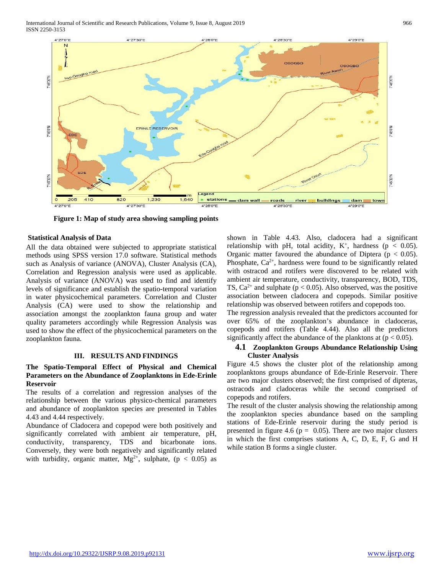International Journal of Scientific and Research Publications, Volume 9, Issue 8, August 2019 966 ISSN 2250-3153



**Figure 1: Map of study area showing sampling points**

## **Statistical Analysis of Data**

All the data obtained were subjected to appropriate statistical methods using SPSS version 17.0 software. Statistical methods such as Analysis of variance (ANOVA), Cluster Analysis (CA), Correlation and Regression analysis were used as applicable. Analysis of variance (ANOVA) was used to find and identify levels of significance and establish the spatio-temporal variation in water physicochemical parameters. Correlation and Cluster Analysis (CA) were used to show the relationship and association amongst the zooplankton fauna group and water quality parameters accordingly while Regression Analysis was used to show the effect of the physicochemical parameters on the zooplankton fauna.

## **III. RESULTS AND FINDINGS**

## **The Spatio-Temporal Effect of Physical and Chemical Parameters on the Abundance of Zooplanktons in Ede-Erinle Reservoir**

The results of a correlation and regression analyses of the relationship between the various physico-chemical parameters and abundance of zooplankton species are presented in Tables 4.43 and 4.44 respectively.

Abundance of Cladocera and copepod were both positively and significantly correlated with ambient air temperature, pH, conductivity, transparency, TDS and bicarbonate ions. Conversely, they were both negatively and significantly related with turbidity, organic matter,  $Mg^{2+}$ , sulphate, (p < 0.05) as

shown in Table 4.43. Also, cladocera had a significant relationship with pH, total acidity,  $K^+$ , hardness (p < 0.05). Organic matter favoured the abundance of Diptera ( $p < 0.05$ ). Phosphate,  $Ca^{2+}$ , hardness were found to be significantly related with ostracod and rotifers were discovered to be related with ambient air temperature, conductivity, transparency, BOD, TDS, TS,  $Ca^{2+}$  and sulphate ( $p < 0.05$ ). Also observed, was the positive association between cladocera and copepods. Similar positive relationship was observed between rotifers and copepods too.

The regression analysis revealed that the predictors accounted for over 65% of the zooplankton's abundance in cladoceras, copepods and rotifers (Table 4.44). Also all the predictors significantly affect the abundance of the planktons at  $(p < 0.05)$ .

## **4.1 Zooplankton Groups Abundance Relationship Using Cluster Analysis**

Figure 4.5 shows the cluster plot of the relationship among zooplanktons groups abundance of Ede-Erinle Reservoir. There are two major clusters observed; the first comprised of dipteras, ostracods and cladoceras while the second comprised of copepods and rotifers.

The result of the cluster analysis showing the relationship among the zooplankton species abundance based on the sampling stations of Ede-Erinle reservoir during the study period is presented in figure 4.6 ( $p = 0.05$ ). There are two major clusters in which the first comprises stations A, C, D, E, F, G and H while station B forms a single cluster.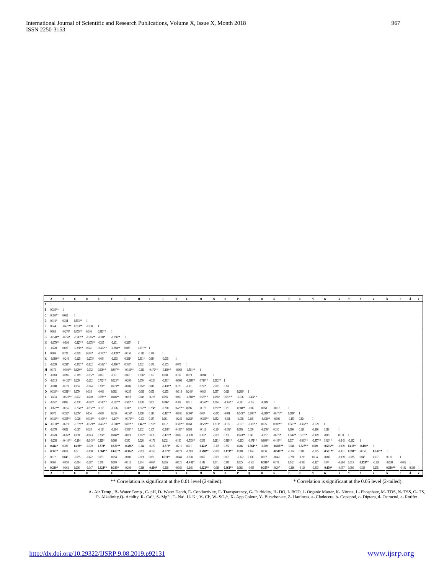A- Air Temp., B- Water Temp., C- pH, D- Water Depth, E- Conductivity, F- Transparency, G- Turbidity, H- DO, I- BOD, J- Organic Matter, K- Nitrate, L- Phosphate, M- TDS, N- TSS, O- TS, O- TS, O- TS, O- TS, P- At', U- R', V-

\*\* Correlation is significant at the 0.01 level (2-tailed). \* Correlation is significant at the 0.05 level (2-tailed).

| A                    | В                   |                             | D                           |            |                   | G                    | н                |                    |                   | к                    |            | М                  | N               | $\bf{0}$                                   |                     |                      | R                   | э                 |                           |                      |                    | W                  | х                                |                             | z                  | a                 | b                     | $\mathbf{c}$ | d                  |
|----------------------|---------------------|-----------------------------|-----------------------------|------------|-------------------|----------------------|------------------|--------------------|-------------------|----------------------|------------|--------------------|-----------------|--------------------------------------------|---------------------|----------------------|---------------------|-------------------|---------------------------|----------------------|--------------------|--------------------|----------------------------------|-----------------------------|--------------------|-------------------|-----------------------|--------------|--------------------|
| $A \quad 1$          |                     |                             |                             |            |                   |                      |                  |                    |                   |                      |            |                    |                 |                                            |                     |                      |                     |                   |                           |                      |                    |                    |                                  |                             |                    |                   |                       |              |                    |
| $B = 0.339**$        |                     |                             |                             |            |                   |                      |                  |                    |                   |                      |            |                    |                 |                                            |                     |                      |                     |                   |                           |                      |                    |                    |                                  |                             |                    |                   |                       |              |                    |
| $C = 0.390**$        | 0.065               |                             |                             |            |                   |                      |                  |                    |                   |                      |            |                    |                 |                                            |                     |                      |                     |                   |                           |                      |                    |                    |                                  |                             |                    |                   |                       |              |                    |
| $D = 0.311*$         | 0.214               | $0.513**$ 1                 |                             |            |                   |                      |                  |                    |                   |                      |            |                    |                 |                                            |                     |                      |                     |                   |                           |                      |                    |                    |                                  |                             |                    |                   |                       |              |                    |
| E 0.144              |                     | $-0.422**$ 0.393** $-0.058$ |                             |            |                   |                      |                  |                    |                   |                      |            |                    |                 |                                            |                     |                      |                     |                   |                           |                      |                    |                    |                                  |                             |                    |                   |                       |              |                    |
| $F = 0.083$          | $-0.270*$           | $0.455**$ 0.016             |                             | $0.881**$  |                   |                      |                  |                    |                   |                      |            |                    |                 |                                            |                     |                      |                     |                   |                           |                      |                    |                    |                                  |                             |                    |                   |                       |              |                    |
| $G = -0.540**$       | $-0.258*$           |                             | $-0.543** -0.565** -0.311*$ |            | $-0.356**$        |                      |                  |                    |                   |                      |            |                    |                 |                                            |                     |                      |                     |                   |                           |                      |                    |                    |                                  |                             |                    |                   |                       |              |                    |
| $H = 0.379** -0.196$ |                     | $-0.327**$                  | $-0.375**$ $-0.205$         |            | $-0.131$          | $0.295*$             |                  |                    |                   |                      |            |                    |                 |                                            |                     |                      |                     |                   |                           |                      |                    |                    |                                  |                             |                    |                   |                       |              |                    |
| $I = -0.220$         | 0.025               | $-0.338**$                  | 0.041                       | $-0.467**$ | $-0.384***$       | 0.085                | $0.631**$ 1      |                    |                   |                      |            |                    |                 |                                            |                     |                      |                     |                   |                           |                      |                    |                    |                                  |                             |                    |                   |                       |              |                    |
| $J = 0.009$          | 0.222               | $-0.029$                    | $0.281*$                    | $-0.375**$ | $-0.439**$        | $-0.150$             | $-0.110$ $0.184$ |                    |                   |                      |            |                    |                 |                                            |                     |                      |                     |                   |                           |                      |                    |                    |                                  |                             |                    |                   |                       |              |                    |
| $K = 0.380**$        | $-0.246$            | $-0.125$                    | $-0.273*$                   | $-0.054$   | $-0.103$          | $0.291*$             | $0.311*0.084$    |                    | $-0.005$          |                      |            |                    |                 |                                            |                     |                      |                     |                   |                           |                      |                    |                    |                                  |                             |                    |                   |                       |              |                    |
| $L - 0.039$          | $0.293*$            | $-0.342**$                  | $-0.122$                    | $-0.532**$ | $-0.466**$        | $0.313*$             | 0.032            | 0.172              | $-0.155$          | 0.073                |            |                    |                 |                                            |                     |                      |                     |                   |                           |                      |                    |                    |                                  |                             |                    |                   |                       |              |                    |
| M 0.172              |                     | $-0.391**$ 0.429**          | $-0.032$                    | $0.996**$  | $0.897**$         | $-0.341**$           |                  | $-0.211 - 0.472**$ | $-0.410**$        | $-0.069$             | $-0.501**$ |                    |                 |                                            |                     |                      |                     |                   |                           |                      |                    |                    |                                  |                             |                    |                   |                       |              |                    |
| N -0.183             | $-0.096 - 0.119$    |                             | $-0.252*$                   | $-0.069$   | $-0.071$          | 0.066                | $0.296*$         | 0.197              | 0.000             | 0.137                | 0.019      | $-0.094$           |                 |                                            |                     |                      |                     |                   |                           |                      |                    |                    |                                  |                             |                    |                   |                       |              |                    |
| $0 - 0.013$          | $-0.432**$ 0.220    |                             | $-0.212$                    | $0.732**$  | $0.623**$         | $-0.204$             | 0.070            | $-0.224$           | $-0.301*$         | $-0.005$             | $-0.398**$ | $0.714**$          | $0.582**$       |                                            |                     |                      |                     |                   |                           |                      |                    |                    |                                  |                             |                    |                   |                       |              |                    |
| $P - 0.188$          | $-0.223$            | 0.174                       | $-0.044$                    | $0.268*$   | $0.473**$         | $-0.089$             | $0.284*$         | 0.048              | $-0.420**$        | 0.120                | $-0.171$   | $0.296*$           | $-0.025$        | 0.198                                      |                     |                      |                     |                   |                           |                      |                    |                    |                                  |                             |                    |                   |                       |              |                    |
| $Q = 0.326**$        | $0.331**$ 0.179     |                             | 0.033                       | $-0.068$   | 0.082             | $-0.235$             | $-0.089$         | 0.059              | $-0.155$          | $-0.118$ 0.248*      |            | $-0.024$           | 0.097           | 0.028                                      | $0.265*$ 1          |                      |                     |                   |                           |                      |                    |                    |                                  |                             |                    |                   |                       |              |                    |
| $R = -0.233$         | $-0.510**$ $-0.072$ |                             | $-0.210$                    | $0.638**$  | $0.403**$         | $-0.018$             | $-0.049$         | $-0.223$           | 0.093             | 0.050                | $-0.568**$ | $0.575**$          | $0.255*$        | $0.657**$                                  |                     | $-0.076 - 0.424***$  |                     |                   |                           |                      |                    |                    |                                  |                             |                    |                   |                       |              |                    |
| $S = -0.047$         | 0.099               | $-0.230$                    | $-0.292*$                   | $-0.515**$ | $-0.592**$        | $0.500**$            | 0.138            | 0.050              | $0.286*$          | 0.202                | 0.011      | $-0.553**$         | 0.094           | $-0.357**$                                 | $-0.281$            | $-0.162$             | $-0.109$            |                   |                           |                      |                    |                    |                                  |                             |                    |                   |                       |              |                    |
| $T = 0.622** -0.155$ |                     | $-0.324**$                  | $-0.332**$ $-0.165$         |            | $-0.076$          | $0.316*$             | $0.512**$ 0.264* |                    | $-0.200$          | $0.426**$ 0.096      |            | $-0.172$           | $0.397**$ 0.133 |                                            | $0.380** -0.012$    |                      | 0.050               | $-0.017$          |                           |                      |                    |                    |                                  |                             |                    |                   |                       |              |                    |
| $U = 0.072$          | $0.253*$            | $0.276*$                    | 0.156                       | $-0.037$   | 0.233             | $-0.251*$            | 0.108            | 0.114              | $-0.487**$        | $-0.031$ $0.304*$    |            | 0.037              | $-0.045$        | $-0.041$                                   | $0.543**$ $0.540**$ |                      | $-0.609**$          | $-0.471**$        | $0.309*$ 1                |                      |                    |                    |                                  |                             |                    |                   |                       |              |                    |
| $V$ 0.334** 0.355**  |                     | $-0.020$                    | $0.333**$ $-0.408**$        |            | $-0.247*$         | $-0.371**$           | $-0.103$         | 0.187              | 0.061             | $-0.245$ $0.282*$    |            | $-0.383**$         | 0.152           | $-0.221$                                   | $-0.098$ 0.145      |                      | $-0.438**$ $-0.108$ |                   | $-0.153$ 0.224            |                      |                    |                    |                                  |                             |                    |                   |                       |              |                    |
| W -0.710** -0.221    |                     | $-0.639**$                  | $-0.529**$ $-0.472**$       |            | $-0.500**$        | $0.828**$            | $0.442**$ 0.290* |                    | 0.112             | $0.382**$ 0.160      |            | $-0.523**$         | $0.313*$        | $-0.172$                                   | $-0.077$            | $-0.336**$           | 0.126               | $0.593**$         |                           | $0.541**$ $-0.377**$ | $-0.229$           |                    |                                  |                             |                    |                   |                       |              |                    |
| $X = -0.170$         | 0.029               | $-0.097$                    | 0.024                       | $-0.124$   | $-0.104$          | 0.389**              | 0.132            | 0.107              | $-0.248*$         | $0.438**$ 0.184      |            | $-0.112$           | $-0.194$        | $-0.249*$                                  | 0.095               | 0.000                | $-0.276*$           | 0.210             | $0.096$ 0.120             |                      | $-0.186$           | 0.219              |                                  |                             |                    |                   |                       |              |                    |
| $Y = -0.149$         | $-0.262*$           | 0.178                       | $-0.043$                    | $0.284*$   | $0.484**$         | $-0.079$             | $0.282*$         | 0.061              | $-0.425**$        | 0.089                | $-0.178$   | $0.309*$           | $-0.031$        | 0.208                                      | $0.943**$ 0.241     |                      | $-0.057$            | $-0.271*$         |                           | $0.346**0.505**$     | $-0.119$           | $-0.076$           | $0.110 \quad 1$                  |                             |                    |                   |                       |              |                    |
| $Z = -0.238$         | $-0.416**$ $-0.184$ |                             | $-0.343**$ 0.320*           |            | 0.066             | 0.240                | 0.026            | $-0.179$           | 0.232             | 0.150                | $-0.515**$ | 0.243              |                 | $0.281$ <sup>*</sup> $0.419$ <sup>**</sup> |                     | $-0.213 - 0.471**$   | $0.860**$           | $0.414***$        | 0.037                     | $-0.800**$           | $-0.457**$ 0.420** |                    |                                  | $-0.145 - 0.192$            |                    |                   |                       |              |                    |
| $a = 0.444*$         | 0.285               | $0.408*$                    | $-0.079$                    | $0.370*$   | $0.520**$         | $-0.386*$            | $-0.144$         | $-0.229$           | $-0.372*$         | $-0.211$             | 0.071      | $0.423*$           | $-0.105$        | 0.252                                      | 0.286               | $0.564**$            | $-0.209$            | $-0.468**$        | $-0.048$                  | $0.627**$            | 0.009              | $-0.595**$         |                                  | $-0.139$ $0.418*$ $-0.430*$ |                    |                   |                       |              |                    |
| $b = 0.377*$         | 0.011               | 0.321                       | $-0.150$                    | $0.660**$  | $0.673**$         | $-0.384*$            | $-0.059$         | $-0.263$           | $-0.377*$         | $-0.173$             | $-0.203$   | $0.690**$          | $-0.081$        | $0.473**$                                  | 0.309               | 0.324                | 0.134               | $-0.540**$        | $-0.124$                  | 0.310                | $-0.215$           | $-0.561**$         |                                  | $-0.121$ $0.391*$ $-0.150$  |                    | $0.747**$         |                       |              |                    |
| $c = 0.172$          | 0.046               | $-0.055$                    | $-0.122$                    | 0.073      | 0.058             | $-0.008$             | $-0.056$         | 0.070              | $0.371*$          | $-0.043$             | $-0.278$   | 0.057              | $-0.051$        | 0.009                                      | $-0.122$            | 0.176                | 0.072               | $-0.041$          | $-0.280$                  | $-0.236$             | 0.114              | $-0.036$           |                                  | $-0.139 - 0.085$            | 0.045              | 0.017             | 0.119                 |              |                    |
| $d = 0.060$          | $-0.193$            | $-0.014$<br>0.206           | $-0.087$                    | 0.179      | 0.099<br>$0.349*$ | $-0.112$<br>$-0.291$ | 0.144            | $-0.054$           | 0.216<br>$-0.218$ | $-0.121$<br>$-0.165$ | $-0.443*$  | 0.149<br>$0.622**$ | 0.341           | 0.341<br>$0.462**$                         | 0.025<br>0.088      | $-0.168$             | $0.396*$            | 0.172<br>$-0.207$ | 0.042<br>$-0.216 - 0.123$ | $-0.313$             | $-0.127$           | 0.074<br>$-0.400*$ | $-0.284$ 0.013<br>$-0.057$ 0.086 |                             | $0.453**$<br>0.223 | $-0.186$<br>0.235 | $-0.038$<br>$0.530**$ | $-0.002 - 1$ | $-0.182$ $0.303$ 1 |
| $e = 0.380*$         | $-0.061$<br>B       | C                           | $-0.047$<br>Đ               | $0.624**$  |                   | G                    | H                | $-0.216 - 0.430*$  |                   | K                    | $-0.245$   | M                  | $-0.019$<br>N   | $\Omega$                                   | P                   | $-0.045$<br>$\Omega$ | $0.355*$<br>R       | s                 | T                         | U                    | $-0.313$<br>V      | W                  |                                  | Y                           | 7.                 |                   | h                     |              | d.                 |
| A                    |                     |                             |                             |            |                   |                      |                  |                    |                   |                      |            |                    |                 |                                            |                     |                      |                     |                   |                           |                      |                    |                    | X                                |                             |                    | $\mathbf{a}$      |                       | $\mathbf{c}$ | $\mathbf{e}$       |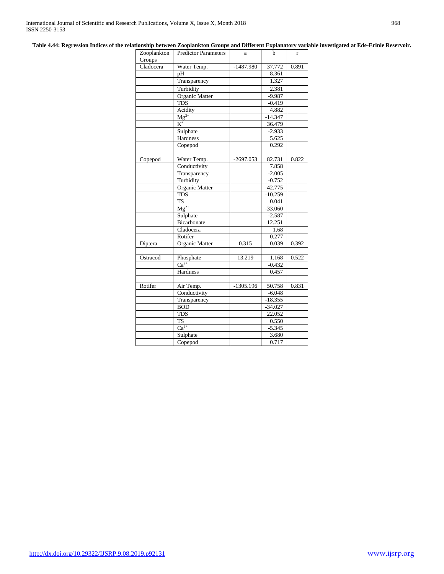| Table 4.44: Regression Indices of the relationship between Zooplankton Groups and Different Explanatory variable investigated at Ede-Erinle Reservoir. |  |  |  |
|--------------------------------------------------------------------------------------------------------------------------------------------------------|--|--|--|
|                                                                                                                                                        |  |  |  |

| Zooplankton<br>Groups | Predictor Parameters   | a           | $\mathbf b$     | $\mathbf r$ |  |  |
|-----------------------|------------------------|-------------|-----------------|-------------|--|--|
| Cladocera             | Water Temp.            | $-1487.980$ | 37.772          | 0.891       |  |  |
|                       | pH                     |             | 8.361           |             |  |  |
|                       | Transparency           |             | 1.327           |             |  |  |
|                       | Turbidity              |             | 2.381           |             |  |  |
|                       | Organic Matter         |             | $-9.987$        |             |  |  |
|                       | <b>TDS</b>             |             | $-0.419$        |             |  |  |
|                       | Acidity                |             | 4.882           |             |  |  |
|                       | $Mg^{2+}$              |             | $-14.347$       |             |  |  |
|                       | $K^+$                  |             | 36.479          |             |  |  |
|                       | Sulphate               |             | $-2.933$        |             |  |  |
|                       | Hardness               |             | 5.625           |             |  |  |
|                       | Copepod                |             | 0.292           |             |  |  |
| Copepod               | Water Temp.            | $-2697.053$ | 82.731          | 0.822       |  |  |
|                       | Conductivity           |             | 7.858           |             |  |  |
|                       | Transparency           |             | $-2.005$        |             |  |  |
|                       | Turbidity              |             | $-0.752$        |             |  |  |
|                       | <b>Organic Matter</b>  |             | $-42.775$       |             |  |  |
|                       | <b>TDS</b>             |             | $-10.259$       |             |  |  |
|                       | <b>TS</b>              |             | 0.041           |             |  |  |
|                       | $Mg^{2+}$              |             | $-33.060$       |             |  |  |
|                       | Sulphate               |             | $-2.587$        |             |  |  |
|                       | Bicarbonate            |             | 12.251          |             |  |  |
|                       | Cladocera              |             | 1.68            |             |  |  |
|                       | Rotifer                |             | 0.277           |             |  |  |
| Diptera               | <b>Organic Matter</b>  | 0.315       | 0.039           | 0.392       |  |  |
| Ostracod              | Phosphate              | 13.219      | $-1.168$        | 0.522       |  |  |
|                       | $Ca^{2+}$              |             | $-0.432$        |             |  |  |
|                       | Hardness               |             | 0.457           |             |  |  |
| Rotifer               |                        |             | 50.758          | 0.831       |  |  |
|                       | Air Temp.              | $-1305.196$ |                 |             |  |  |
|                       | Conductivity           |             | $-6.048$        |             |  |  |
|                       | Transparency           |             | $-18.355$       |             |  |  |
|                       | <b>BOD</b>             |             | $-34.027$       |             |  |  |
|                       | <b>TDS</b>             |             | 22.052<br>0.550 |             |  |  |
|                       | <b>TS</b><br>$Ca^{2+}$ |             |                 |             |  |  |
|                       |                        |             | $-5.345$        |             |  |  |
|                       | Sulphate               |             | 3.680           |             |  |  |
|                       | Copepod                |             | 0.717           |             |  |  |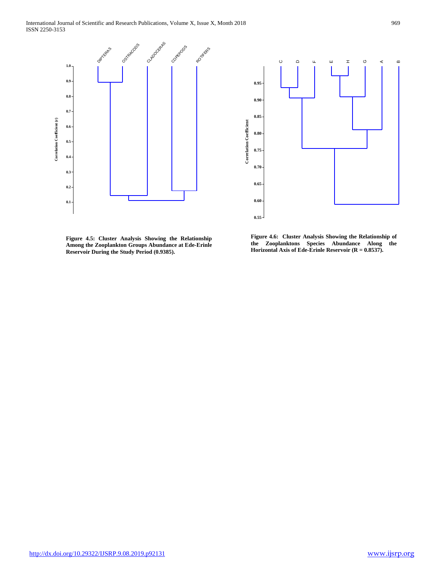



**Figure 4.5: Cluster Analysis Showing the Relationship Among the Zooplankton Groups Abundance at Ede-Erinle Reservoir During the Study Period (0.9385).**

**Figure 4.6: Cluster Analysis Showing the Relationship of the Zooplanktons Species Abundance Along the Horizontal Axis of Ede-Erinle Reservoir (R = 0.8537).**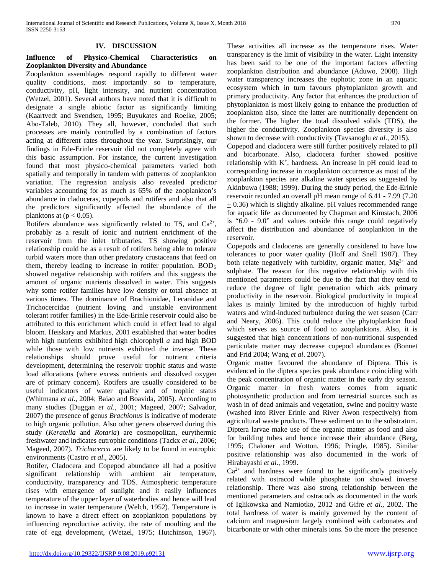## **IV. DISCUSSION**

## **Influence of Physico-Chemical Characteristics on Zooplankton Diversity and Abundance**

Zooplankton assemblages respond rapidly to different water quality conditions, most importantly so to temperature, conductivity, pH, light intensity, and nutrient concentration (Wetzel, 2001). Several authors have noted that it is difficult to designate a single abiotic factor as significantly limiting (Kaartvedt and Svendsen, 1995; Buyukates and Roelke, 2005; Abo-Taleb, 2010). They all, however, concluded that such processes are mainly controlled by a combination of factors acting at different rates throughout the year. Surprisingly, our findings in Ede-Erinle reservoir did not completely agree with this basic assumption. For instance, the current investigation found that most physico-chemical parameters varied both spatially and temporally in tandem with patterns of zooplankton variation. The regression analysis also revealed predictor variables accounting for as much as 65% of the zooplankton's abundance in cladoceras, copepods and rotifers and also that all the predictors significantly affected the abundance of the planktons at  $(p < 0.05)$ .

Rotifers abundance was significantly related to TS, and  $Ca^{2+}$ , probably as a result of ionic and nutrient enrichment of the reservoir from the inlet tributaries. TS showing positive relationship could be as a result of rotifers being able to tolerate turbid waters more than other predatory crustaceans that feed on them, thereby leading to increase in rotifer population.  $BOD<sub>5</sub>$ showed negative relationship with rotifers and this suggests the amount of organic nutrients dissolved in water. This suggests why some rotifer families have low density or total absence at various times. The dominance of Brachionidae, Lecanidae and Trichocercidae (nutrient loving and unstable environment tolerant rotifer families) in the Ede-Erinle reservoir could also be attributed to this enrichment which could in effect lead to algal bloom. Heiskary and Markus, 2001 established that water bodies with high nutrients exhibited high chlorophyll *a* and high BOD while those with low nutrients exhibited the inverse. These relationships should prove useful for nutrient criteria development, determining the reservoir trophic status and waste load allocations (where excess nutrients and dissolved oxygen are of primary concern). Rotifers are usually considered to be useful indicators of water quality and of trophic status (Whitmana *et al*., 2004; Baiao and Boavida, 2005). According to many studies (Duggan *et al*., 2001; Mageed, 2007; Salvador, 2007) the presence of genus *Brachionus* is indicative of moderate to high organic pollution. Also other genera observed during this study (*Keratella* and *Rotaria*) are cosmopolitan, eurythermic freshwater and indicates eutrophic conditions (Tackx *et al*., 2006; Mageed, 2007). *Trichocerca* are likely to be found in eutrophic environments (Castro *et al*., 2005).

Rotifer, Cladocera and Copepod abundance all had a positive significant relationship with ambient air temperature, conductivity, transparency and TDS. Atmospheric temperature rises with emergence of sunlight and it easily influences temperature of the upper layer of waterbodies and hence will lead to increase in water temperature (Welch, 1952). Temperature is known to have a direct effect on zooplankton populations by influencing reproductive activity, the rate of moulting and the rate of egg development, (Wetzel, 1975; Hutchinson, 1967).

These activities all increase as the temperature rises. Water transparency is the limit of visibility in the water. Light intensity has been said to be one of the important factors affecting zooplankton distribution and abundance (Aduwo, 2008). High water transparency increases the euphotic zone in an aquatic ecosystem which in turn favours phytoplankton growth and primary productivity. Any factor that enhances the production of phytoplankton is most likely going to enhance the production of zooplankton also, since the latter are nutritionally dependent on the former. The higher the total dissolved solids (TDS), the higher the conductivity. Zooplankton species diversity is also shown to decrease with conductivity (Tavsanoglu *et al.*, 2015).

Copepod and cladocera were still further positively related to pH and bicarbonate. Also, cladocera further showed positive relationship with  $K^+$ , hardness. An increase in pH could lead to corresponding increase in zooplankton occurrence as most of the zooplankton species are alkaline water species as suggested by Akinbuwa (1988; 1999). During the study period, the Ede-Erinle reservoir recorded an overall pH mean range of 6.41 - 7.99 (7.20 + 0.36) which is slightly alkaline. pH values recommended range for aquatic life as documented by Chapman and Kimstach, 2006 is "6.0 - 9.0" and values outside this range could negatively affect the distribution and abundance of zooplankton in the reservoir.

Copepods and cladoceras are generally considered to have low tolerances to poor water quality (Hoff and Snell 1987). They both relate negatively with turbidity, organic matter,  $Mg^{2+}$  and sulphate. The reason for this negative relationship with this mentioned parameters could be due to the fact that they tend to reduce the degree of light penetration which aids primary productivity in the reservoir. Biological productivity in tropical lakes is mainly limited by the introduction of highly turbid waters and wind-induced turbulence during the wet season (Carr and Neary, 2006). This could reduce the phytoplankton food which serves as source of food to zooplanktons. Also, it is suggested that high concentrations of non-nutritional suspended particulate matter may decrease copepod abundances (Bonnet and Frid 2004; Wang *et al*. 2007).

Organic matter favoured the abundance of Diptera. This is evidenced in the diptera species peak abundance coinciding with the peak concentration of organic matter in the early dry season. Organic matter in fresh waters comes from aquatic photosynthetic production and from terrestrial sources such as wash in of dead animals and vegetation, swine and poultry waste (washed into River Erinle and River Awon respectively) from agricultural waste products. These sediment on to the substratum. Diptera larvae make use of the organic matter as food and also for building tubes and hence increase their abundance (Berg, 1995; Chaloner and Wotton, 1996; Pringle, 1985). Similar positive relationship was also documented in the work of Hirabayashi *et al*., 1999.

 $Ca<sup>2+</sup>$  and hardness were found to be significantly positively related with ostracod while phosphate ion showed inverse relationship. There was also strong relationship between the mentioned parameters and ostracods as documented in the work of Iglikowska and Namiotko, 2012 and Gifre *et al*., 2002. The total hardness of water is mainly governed by the content of calcium and magnesium largely combined with carbonates and bicarbonate or with other minerals ions. So the more the presence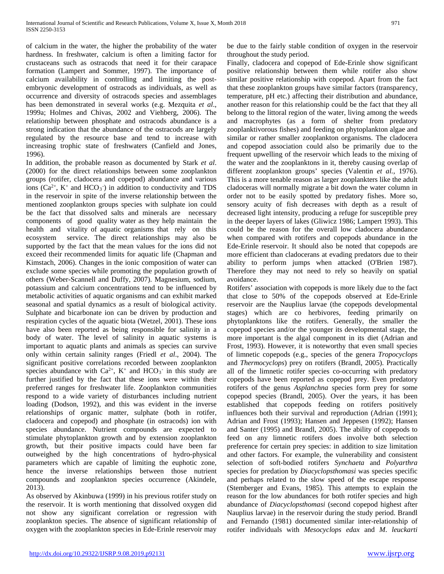of calcium in the water, the higher the probability of the water hardness. In freshwater, calcium is often a limiting factor for crustaceans such as ostracods that need it for their carapace formation (Lampert and Sommer, 1997). The importance of calcium availability in controlling and limiting the postembryonic development of ostracods as individuals, as well as occurrence and diversity of ostracods species and assemblages has been demonstrated in several works (e.g. Mezquita *et al*., 1999a; Holmes and Chivas, 2002 and Viehberg, 2006). The relationship between phosphate and ostracods abundance is a strong indication that the abundance of the ostracods are largely regulated by the resource base and tend to increase with increasing trophic state of freshwaters (Canfield and Jones, 1996).

In addition, the probable reason as documented by Stark *et al*. (2000) for the direct relationships between some zooplankton groups (rotifer, cladocera and copepod) abundance and various ions  $(Ca^{2+}, K^+$  and  $HCO_3^-$ ) in addition to conductivity and TDS in the reservoir in spite of the inverse relationship between the mentioned zooplankton groups species with sulphate ion could be the fact that dissolved salts and minerals are necessary components of good quality water as they help maintain the health and vitality of aquatic organisms that rely on this ecosystem service. The direct relationships may also be supported by the fact that the mean values for the ions did not exceed their recommended limits for aquatic life (Chapman and Kimstach, 2006). Changes in the ionic composition of water can exclude some species while promoting the population growth of others (Weber-Scannell and Duffy, 2007). Magnesium, sodium, potassium and calcium concentrations tend to be influenced by metabolic activities of aquatic organisms and can exhibit marked seasonal and spatial dynamics as a result of biological activity. Sulphate and bicarbonate ion can be driven by production and respiration cycles of the aquatic biota (Wetzel, 2001). These ions have also been reported as being responsible for salinity in a body of water. The level of salinity in aquatic systems is important to aquatic plants and animals as species can survive only within certain salinity ranges (Friedl *et al*., 2004). The significant positive correlations recorded between zooplankton species abundance with  $Ca^{2+}$ ,  $K^+$  and  $HCO_3^-$  in this study are further justified by the fact that these ions were within their preferred ranges for freshwater life. Zooplankton communities respond to a wide variety of disturbances including nutrient loading (Dodson, 1992), and this was evident in the inverse relationships of organic matter, sulphate (both in rotifer, cladocera and copepod) and phosphate (in ostracods) ion with species abundance. Nutrient compounds are expected to stimulate phytoplankton growth and by extension zooplankton growth, but their positive impacts could have been far outweighed by the high concentrations of hydro-physical parameters which are capable of limiting the euphotic zone, hence the inverse relationships between those nutrient compounds and zooplankton species occurrence (Akindele, 2013).

As observed by Akinbuwa (1999) in his previous rotifer study on the reservoir. It is worth mentioning that dissolved oxygen did not show any significant correlation or regression with zooplankton species. The absence of significant relationship of oxygen with the zooplankton species in Ede-Erinle reservoir may be due to the fairly stable condition of oxygen in the reservoir throughout the study period.

Finally, cladocera and copepod of Ede-Erinle show significant positive relationship between them while rotifer also show similar positive relationship with copepod. Apart from the fact that these zooplankton groups have similar factors (transparency, temperature, pH etc.) affecting their distribution and abundance, another reason for this relationship could be the fact that they all belong to the littoral region of the water, living among the weeds and macrophytes (as a form of shelter from predatory zooplanktivorous fishes) and feeding on phytoplankton algae and similar or rather smaller zooplankton organisms. The cladocera and copepod association could also be primarily due to the frequent upwelling of the reservoir which leads to the mixing of the water and the zooplanktons in it, thereby causing overlap of different zooplankton groups' species (Valentin *et al.*, 1976). This is a more tenable reason as larger zooplankters like the adult cladoceras will normally migrate a bit down the water column in order not to be easily spotted by predatory fishes. More so, sensory acuity of fish decreases with depth as a result of decreased light intensity, producing a refuge for susceptible prey in the deeper layers of lakes (Gliwicz 1986; Lampert 1993). This could be the reason for the overall low cladocera abundance when compared with rotifers and copepods abundance in the Ede-Erinle reservoir. It should also be noted that copepods are more efficient than cladocerans at evading predators due to their ability to perform jumps when attacked (O'Brien 1987). Therefore they may not need to rely so heavily on spatial avoidance.

Rotifers' association with copepods is more likely due to the fact that close to 50% of the copepods observed at Ede-Erinle reservoir are the Nauplius larvae (the copepods developmental stages) which are co herbivores, feeding primarily on phytoplanktons like the rotifers. Generally, the smaller the copepod species and/or the younger its developmental stage, the more important is the algal component in its diet (Adrian and Frost, 1993). However, it is noteworthy that even small species of limnetic copepods (e.g., species of the genera *Tropocyclops* and *Thermocyclops*) prey on rotifers (Brandl, 2005). Practically all of the limnetic rotifer species co-occurring with predatory copepods have been reported as copepod prey. Even predatory rotifers of the genus *Asplanchna* species form prey for some copepod species (Brandl, 2005). Over the years, it has been established that copepods feeding on rotifers positively influences both their survival and reproduction (Adrian (1991); Adrian and Frost (1993); Hansen and Jeppesen (1992); Hansen and Santer (1995) and Brandl, 2005). The ability of copepods to feed on any limnetic rotifers does involve both selection preference for certain prey species: in addition to size limitation and other factors. For example, the vulnerability and consistent selection of soft-bodied rotifers *Synchaeta* and *Polyarthra* species for predation by *Diacyclopsthomasi* was species specific and perhaps related to the slow speed of the escape response (Stemberger and Evans, 1985). This attempts to explain the reason for the low abundances for both rotifer species and high abundance of *Diacyclopsthomasi* (second copepod highest after Nauplius larvae) in the reservoir during the study period. Brandl and Fernando (1981) documented similar inter-relationship of rotifer individuals with *Mesocyclops edax* and *M*. *leuckarti*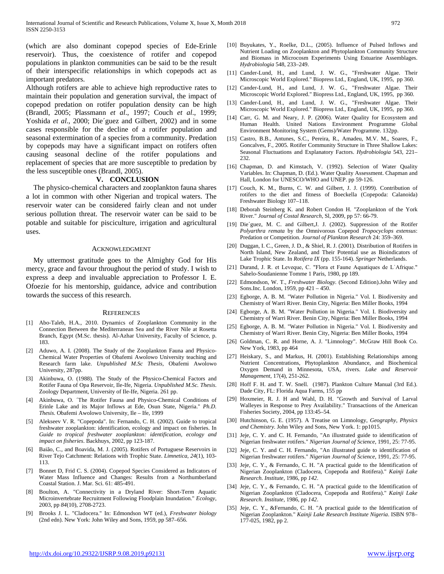(which are also dominant copepod species of Ede-Erinle reservoir). Thus, the coexistence of rotifer and copepod populations in plankton communities can be said to be the result of their interspecific relationships in which copepods act as important predators.

Although rotifers are able to achieve high reproductive rates to maintain their population and generation survival, the impact of copepod predation on rotifer population density can be high (Brandl, 2005; Plassmann *et al*., 1997; Couch *et al*., 1999; Yoshida *et al*., 2000; Die´guez and Gilbert, 2002) and in some cases responsible for the decline of a rotifer population and seasonal extermination of a species from a community. Predation by copepods may have a significant impact on rotifers often causing seasonal decline of the rotifer populations and replacement of species that are more susceptible to predation by the less susceptible ones (Brandl, 2005).

## **V. CONCLUSION**

The physico-chemical characters and zooplankton fauna shares a lot in common with other Nigerian and tropical waters. The reservoir water can be considered fairly clean and not under serious pollution threat. The reservoir water can be said to be potable and suitable for pisciculture, irrigation and agricultural uses.

### ACKNOWLEDGMENT

My uttermost gratitude goes to the Almighty God for His mercy, grace and favour throughout the period of study. I wish to express a deep and invaluable appreciation to Professor I. E. Ofoezie for his mentorship, guidance, advice and contribution towards the success of this research.

### **REFERENCES**

- [1] Abo-Taleb, H.A., 2010. Dynamics of Zooplankton Community in the Connection Between the Mediterranean Sea and the River Nile at Rosetta Branch, Egypt (M.Sc. thesis). Al-Azhar University, Faculty of Science, p. 183.
- [2] Aduwo, A. I. (2008). The Study of the Zooplankton Fauna and Physico-Chemical Water Properties of Obafemi Awolowo University teaching and Research farm lake. *Unpublished M.Sc Thesis,* Obafemi Awolowo University, 287pp.
- [3] Akinbuwa, O. (1988). The Study of the Physico-Chemical Factors and Rotifer Fauna of Opa Reservoir, Ile-Ife, Nigeria. *Unpublished M.Sc. Thesis*. Zoology Department, University of Ile-Ife, Nigeria. 261 pp.
- [4] Akinbuwa, O. <sup>The</sup> Rotifer Fauna and Physico-Chemical Conditions of Erinle Lake and its Major Inflows at Ede, Osun State, Nigeria." *Ph.D. Thesis.* Obafemi Awolowo University, Ile – Ife, 1999
- [5] Alekseev V. R. "Copepoda". In: Fernando, C. H. (2002). Guide to tropical freshwater zooplankton: identification, ecology and impact on fisheries. In *Guide to tropical freshwater zooplankton: identification, ecology and impact on fisheries*. Backhuys, 2002, pp 123-187.
- [6] Baião, C., and Boavida, M. J. (2005). Rotifers of Portuguese Reservoirs in River Tejo Catchment: Relations with Trophic State. *Limnetica*, *24*(1), 103- 113.
- [7] Bonnet D, Frid C. S. (2004). Copepod Species Considered as Indicators of Water Mass Influence and Changes: Results from a Northumberland Coastal Station. J. Mar. Sci. 61: 485-491.
- [8] Boulton, A. "Connectivity in a Dryland River: Short-Term Aquatic Microinvertebrate Recruitment Following Floodplain Inundation." *Ecology*, 2003, pp *84*(10), 2708-2723.
- [9] Brooks J. L. "Cladocera." In: Edmondson WT (ed.), *Freshwater biology* (2nd edn). New York: John Wiley and Sons, 1959, pp 587–656.
- [10] Buyukates, Y., Roelke, D.L., (2005). Influence of Pulsed Inflows and Nutrient Loading on Zooplankton and Phytoplankton Community Structure and Biomass in Microcosm Experiments Using Estuarine Assemblages. *Hydrobiologia* 548, 233–249.
- [11] Cander-Lund, H., and Lund, J. W. G., "Freshwater Algae. Their Microscopic World Explored." Biopress Ltd., England, UK, 1995, pp 360.
- [12] Cander-Lund, H., and Lund, J. W. G., "Freshwater Algae. Their Microscopic World Explored." Biopress Ltd., England, UK, 1995, pp 360.
- [13] Cander-Lund, H., and Lund, J. W. G., "Freshwater Algae. Their Microscopic World Explored." Biopress Ltd., England, UK, 1995, pp 360.
- [14] Carr, G. M. and Neary, J. P. (2006). Water Quality for Ecosystem and Human Health. United Nations Environment Programme Global Environment Monitoring System (Gems)/Water Programme. 132pp.
- [15] Castro, B.B., Antunes, S.C., Pereira, R., Amadeu, M.V. M., Soares, F., Goncalves, F., 2005. Rotifer Community Structure in Three Shallow Lakes: Seasonal Fluctuations and Explanatory Factors. *Hydrobiologia* 543, 221– 232.
- [16] Chapman, D. and Kimstach, V. (1992). Selection of Water Quality Variables. In: Chapman, D. (Ed.). Water Quality Assessment. Chapman and Hall, London for UNESCO/WHO and UNEP. pp 59-126.
- [17] Couch, K. M., Burns, C. W. and Gilbert, J. J. (1999). Contribution of rotifers to the diet and fitness of Boeckella (Copepoda: Calanoida) Freshwater Biology 107–118.
- [18] Deborah Steinberg K. and Robert Condon H. "Zooplankton of the York River." *Journal of Costal Research*, Sl, 2009, pp 57: 66-79.
- [19] Die´guez, M. C. and Gilbert, J. (2002). Suppression of the Rotifer *Polyarthra remata* by the Omnivorous Copepod *Tropocyclops extensus*: Predation or Competition. *Journal of Plankton Research* 24: 359–369.
- [20] Duggan, I. C., Green, J. D., & Shiel, R. J. (2001). Distribution of Rotifers in North Island, New Zealand, and Their Potential use as Bioindicators of Lake Trophic State. In *Rotifera IX* (pp. 155-164). *Springer* Netherlands.
- [21] Durand, J. R. et Leveque, C. "Flora et Faune Aquatiques de LˈAfrique." Sahelo-Soudanienne Tomme 1 Paris, 1980, pp 189.
- [22] Edmondson, W. T., *Freshwater Biology.* (Second Edition).John Wiley and Sons.Inc. London, 1959, pp 421 – 450.
- [23] Egborge, A. B. M. "Water Pollution in Nigeria." Vol. I. Biodiversity and Chemistry of Warri River. Benin City, Nigeria: Ben Miller Books, 1994
- [24] Egborge, A. B. M. "Water Pollution in Nigeria." Vol. I. Biodiversity and Chemistry of Warri River. Benin City, Nigeria: Ben Miller Books, 1994
- [25] Egborge, A. B. M. "Water Pollution in Nigeria." Vol. I. Biodiversity and Chemistry of Warri River. Benin City, Nigeria: Ben Miller Books, 1994
- [26] Goldman, C. R. and Horne, A. J. "Limnology". McGraw Hill Book Co. New York, 1983, pp 464
- [27] Heiskary, S., and Markus, H. (2001). Establishing Relationships among Nutrient Concentrations, Phytoplankton Abundance, and Biochemical Oxygen Demand in Minnesota, USA, rivers. *Lake and Reservoir Management*, 17(4), 251-262.
- [28] Hoff F. H. and T. W. Snell. (1987). Plankton Culture Manual (3rd Ed.). Dade City, FL: Florida Aqua Farms, 155 pp
- [29] Hoxmeier, R. J. H and Wahl, D. H. "Growth and Survival of Larval Walleyes in Response to Prey Availability." Transactions of the American Fisheries Society, 2004, pp 133:45–54.
- [30] Hutchinson, G. E. (1957). A Treatise on Limnology, *Geography, Physics and Chemistry.* John Wiley and Sons, New York. 1: pp1015.
- [31] Jeje, C. Y. and C. H. Fernando, "An illustrated guide to identification of Nigerian freshwater rotifers." *Nigerian Journal of Science*, 1991, 25: 77-95.
- [32] Jeje, C. Y. and C. H. Fernando, "An illustrated guide to identification of Nigerian freshwater rotifers." *Nigerian Journal of Science*, 1991, 25: 77-95.
- [33] Jeje, C. Y., & Fernando, C. H. "A practical guide to the Identification of Nigerian Zooplankton (Cladocera, Copepoda and Rotifera)." *Kainji Lake Research. Institute*, 1986, pp *142*.
- [34] Jeje, C. Y., & Fernando, C. H. "A practical guide to the Identification of Nigerian Zooplankton (Cladocera, Copepoda and Rotifera)." *Kainji Lake Research. Institute*, 1986, pp *142*.
- [35] Jeje, C. Y., &Fernando, C. H. "A practical guide to the Identification of Nigerian Zooplankton*.*" *Kainji Lake Research Institute Nigeria*. ISBN 978– 177-025, 1982, pp 2.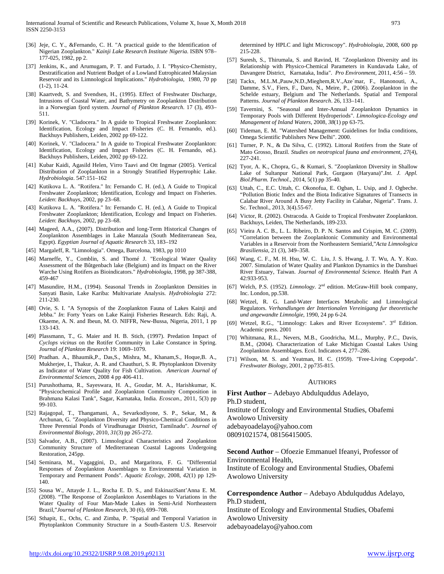- [36] Jeje, C. Y., &Fernando, C. H. "A practical guide to the Identification of Nigerian Zooplankton*.*" *Kainji Lake Research Institute Nigeria*. ISBN 978– 177-025, 1982, pp 2.
- [37] Jenkins, K., and Arumugam, P. T. and Furtado, J. I. "Physico-Chemistry, Destratification and Nutrient Budget of a Lowland Eutrophicated Malaysian Reservoir and its Limnological Implications." *Hydrobiologia*, 1980, *70* pp (1-2), 11-24.
- [38] Kaartvedt, S. and Svendsen, H., (1995). Effect of Freshwater Discharge, Intrusions of Coastal Water, and Bathymetry on Zooplankton Distribution in a Norwegian fjord system. *Journal of Plankton Research*. 17 (3), 493– 511.
- [39] Korinek, V. "Cladocera." In A guide to Tropical Freshwater Zooplankton: Identification, Ecology and Impact Fisheries (C. H. Fernando, ed.). Backhuys Publishers, Leiden, 2002 pp 69-122.
- [40] Korinek, V. "Cladocera." In A guide to Tropical Freshwater Zooplankton: Identification, Ecology and Impact Fisheries (C. H. Fernando, ed.). Backhuys Publishers, Leiden, 2002 pp 69-122.
- [41] Kubar Kaidi, Agasild Helen, Virro Taavi and Ott Ingmar (2005). Vertical Distribution of Zooplankton in a Strongly Stratified Hypertrophic Lake. *Hydrobiologia*. 547:151–162
- [42] Kutikova L. A. "Rotifera." In: Fernando C. H. (ed.), A Guide to Tropical Freshwater Zooplankton; Identification, Ecology and Impact on Fisheries. *Leiden*: *Backhuys*, 2002, pp 23–68.
- [43] Kutikova L. A. "Rotifera." In: Fernando C. H. (ed.), A Guide to Tropical Freshwater Zooplankton; Identification, Ecology and Impact on Fisheries. *Leiden*: *Backhuys*, 2002, pp 23–68.
- [44] Mageed, A.A., (2007). Distribution and long-Term Historical Changes of Zooplankton Assemblages in Lake Manzala (South Mediterranean Sea, Egypt). *Egyptian Journal of Aquatic Research* 33, 183–192
- [45] Margaleff, R. "Limnologia". Omega, Barcelona, 1983, pp 1010
- [46] Marneffe, Y., Comblin, S. and Thomé J. "Ecological Water Quality Assessment of the Bûtgenbach lake (Belgium) and its Impact on the River Warche Using Rotifers as Bioindicators." *Hydrobiologia*, 1998, pp 387-388, 459-467
- [47] Masundire, H.M., (1994). Seasonal Trends in Zooplankton Densities in Sanyati Basin, Lake Kariba: Multivariate Analysis. *Hydrobiologia* 272: 211-230.
- [48] Ovie, S. I. "A Synopsis of the Zooplankton Fauna of Lakes Kainji and Jebba." *In*: Forty Years on Lake Kainji Fisheries Research. Eds: Raji, A. Okaeme, A. N. and Ibeun, M. O. NIFFR, New-Bussa, Nigeria, 2011, 1 pp 133-143.
- [49] Plassmann, T., G. Maier and H. B. Stich, (1997). Predation Impact of *Cyclops vicinus* on the Rotifer Community in Lake Constance in Spring. *Journal of Plankton Research* 19: 1069–1079.
- [50] Pradhan. A., Bhaumik,P., Das,S., Mishra, M., Khanam,S., Hoque,B. A., Mukherjee, I., Thakur, A. R. and Chauthuri, S. R. Phytoplankton Diversity as Indicator of Water Quality for Fish Cultivation. *American Journal of Environmental Sciences*, 2008 4 pp 406-411.
- [51] Purushothama, R., Sayeswara, H. A., Goudar, M. A., Harishkumar, K. "Physicochemical Profile and Zooplankton Community Composition in Brahmana Kalasi Tank", Sagar, Karnataka, India. *Ecoscan.,* 2011, 5(3) pp 99-103.
- [52] Rajagopal, T., Thangamani, A., Sevarkodiyone, S. P., Sekar, M., & Archunan, G. "Zooplankton Diversity and Physico-Chemical Conditions in Three Perennial Ponds of Virudhunagar District, Tamilnadu". *Journal of Environmental Biology*, 2010, *31*(3) pp 265-272.
- [53] Salvador, A.B., (2007). Limnological Characteristics and Zooplankton Community Structure of Mediterranean Coastal Lagoons Undergoing Restoration, 245pp.
- [54] Seminara, M., Vagaggini, D., and Margaritora, F. G. "Differential Responses of Zooplankton Assemblages to Environmental Variation in Temporary and Permanent Ponds". *Aquatic Ecology*, 2008, *42*(1) pp 129- 140.
- [55] Sousa W., Attayde J. L., Rocha E. D. S., and EskinaziSant'Anna E. M. (2008). "The Response of Zooplankton Assemblages to Variations in the Water Quality of Four Man-Made Lakes in Semi-Arid Northeastern Brazil,"*Journal of Plankton Research*, 30 (6), 699–708.
- [56] Sthapit, E., Ochs, C. and Zimba, P. "Spatial and Temporal Variation in Phytoplankton Community Structure in a South-Eastern U.S. Reservoir

determined by HPLC and light Microscopy". *Hydrobiologia*, 2008, 600 pp 215-228.

- [57] Suresh, S., Thirumala, S. and Ravind, H. "Zooplankton Diversity and its Relationship with Physico-Chemical Parameters in Kundavada Lake, of Davangere District, Karnataka, India". *Pro Environment*, 2011, 4:56 – 59.
- [58] Tackx, M.L.M.,Pauw,N.D.,Mieghem,R.V.,Aze´mar, F., Hanonouti, A., Damme, S.V., Fiers, F., Daro, N., Meire, P., (2006). Zooplankton in the Schelde estuary, Belgium and The Netherlands. Spatial and Temporal Patterns. *Journal of Plankton Research*. 26, 133–141.
- [59] Tavernini, S. "Seasonal and Inter-Annual Zooplankton Dynamics in Temporary Pools with Different Hydroperiods". *Limnologica-Ecology and Management of Inland Waters*, 2008, *38*(1) pp 63-75.
- [60] Tideman, E. M. "Watershed Management: Guidelines for India conditions, Omega Scientific Publishers New Delhi". 2000.
- [61] Turner, P. N., & Da Silva, C. (1992). Littoral Rotifers from the State of Mato Grosso, Brazil. *Studies on neotropical fauna and environment*, *27*(4), 227-241.
- [62] Tyor, A. K., Chopra, G., & Kumari, S. "Zooplankton Diversity in Shallow Lake of Sultanpur National Park, Gurgaon (Haryana)".*Int. J. Appl. Biol.Pharm. Technol.,* 2014, 5(1) pp 35-40*.*
- [63] Uttah, C., E.C. Uttah, C. Okonofua, E. Ogban, L. Usip, and J. Ogbeche. "Pollution Biotic Index and the Biota Indicative Signatures of Transects in Calabar River Around A Busy Jetty Facility in Calabar, Nigeria". Trans. J. Sc. Technol., 2013, 3(4).55-67.
- [64] Victor, R. (2002). Ostracoda. A Guide to Tropical Freshwater Zooplankton. Backhuys, Leiden, The Netherlands, 189-233.
- [65] Vieira A. C. B., L. L. Ribeiro, D. P. N. Santos and Crispim, M. C. (2009). "Correlation between the Zooplanktonic Community and Environmental Variables in a Reservoir from the Northeastern Semiarid,"*Acta Limnologica Brasiliensia,* 21 (3), 349–358.
- [66] Wang, C. F., M. H. Hsu, W. C. Liu, J. S. Hwang, J. T. Wu, A. Y. Kuo. 2007. Simulation of Water Quality and Plankton Dynamics in the Danshuei River Estuary, Taiwan. *Journal of Environmental Science.* Health Part A 42:933-953.
- [67] Welch, P.S. (1952). *Limnology*. 2nd edition. McGraw-Hill book company, Inc. London, pp.538.
- [68] Wetzel, R. G. Land-Water Interfaces Metabolic and Limnological Regulators. *Verhandlungen der Intertionalen Vereinigang fur theoretische und angewandte Limnolgie*, 1990, 24 pp 6-24.
- [69] Wetzel, R.G., "Limnology: Lakes and River Ecosystems". 3rd Edition. Academic press. 2001
- [70] Whitmana, R.L., Nevers, M.B., Goodricha, M.L., Murphy, P.C., Davis, B.M., (2004). Characterization of Lake Michigan Coastal Lakes Using Zooplankton Assemblages. Ecol. Indicators 4, 277–286.
- [71] Wilson, M. S. and Yeatman, H. C. (1959). "Free-Living Copepoda". *Freshwater Biology*, 2001, 2 pp735-815.

#### AUTHORS

**First Author** – Adebayo Abdulquddus Adelayo, Ph.D student,

Institute of Ecology and Environmental Studies, Obafemi Awolowo University

adebayoadelayo@yahoo.com 08091021574, 08156415005.

**Second Author** – Ofoezie Emmanuel Ifeanyi, Professor of Environmental Health,

Institute of Ecology and Environmental Studies, Obafemi Awolowo University

**Correspondence Author** – Adebayo Abdulquddus Adelayo, Ph.D student,

Institute of Ecology and Environmental Studies, Obafemi Awolowo University adebayoadelayo@yahoo.com